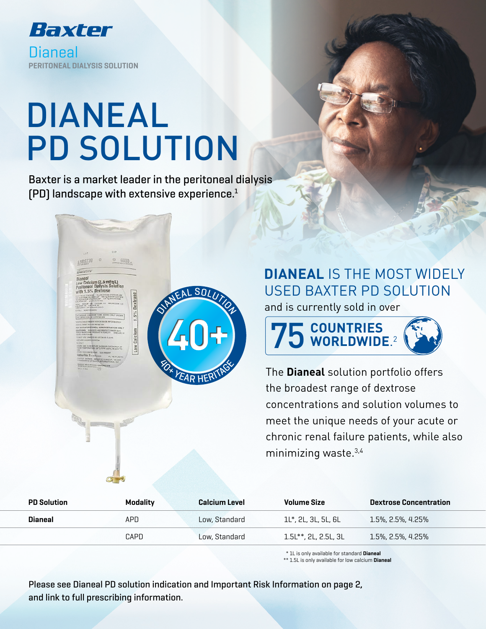

# DIANEAL PD SOLUTION

Baxter is a market leader in the peritoneal dialysis (PD) landscape with extensive experience.1



# **DIANEAL** IS THE MOST WIDELY USED BAXTER PD SOLUTION

and is currently sold in over



The **Dianeal** solution portfolio offers the broadest range of dextrose concentrations and solution volumes to meet the unique needs of your acute or chronic renal failure patients, while also minimizing waste.3,4

| <b>PD Solution</b> | <b>Modality</b> | <b>Calcium Level</b> | <b>Volume Size</b>     | <b>Dextrose Concentration</b> |  |
|--------------------|-----------------|----------------------|------------------------|-------------------------------|--|
| Dianeal            | APD             | Low. Standard        | . 1L*. 2L. 3L. 5L. 6L` | $1.5\%$ , 2.5%, 4.25%         |  |
|                    | CAPD            | Low. Standard        | 1.5L**. 2L. 2.5L. 3L   | $1.5\%$ , 2.5%, 4.25%         |  |

\* 1L is only available for standard Dianeal

\*\* 1.5L is only available for low calcium Dianeal

Please see Dianeal PD solution indication and Important Risk Information on page 2, and link to full prescribing information.